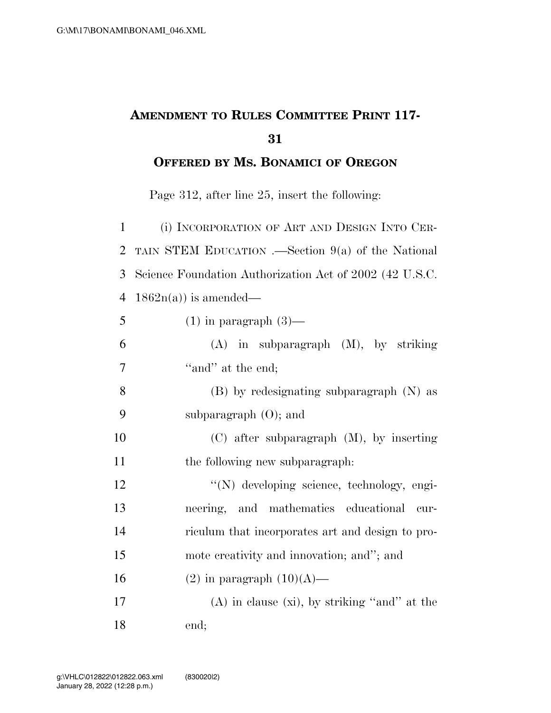## **AMENDMENT TO RULES COMMITTEE PRINT 117-**

**OFFERED BY MS. BONAMICI OF OREGON**

Page 312, after line 25, insert the following:

| $\mathbf{1}$   | (i) INCORPORATION OF ART AND DESIGN INTO CER-           |
|----------------|---------------------------------------------------------|
| $\overline{2}$ | TAIN STEM EDUCATION .—Section $9(a)$ of the National    |
| 3              | Science Foundation Authorization Act of 2002 (42 U.S.C. |
| 4              | $1862n(a)$ is amended—                                  |
| 5              | $(1)$ in paragraph $(3)$ —                              |
| 6              | $(A)$ in subparagraph $(M)$ , by striking               |
| 7              | "and" at the end;                                       |
| 8              | $(B)$ by redesignating subparagraph $(N)$ as            |
| 9              | subparagraph $(O)$ ; and                                |
| 10             | $(C)$ after subparagraph $(M)$ , by inserting           |
| 11             | the following new subparagraph:                         |
| 12             | "(N) developing science, technology, engi-              |
| 13             | neering, and mathematics educational<br>cur-            |
| 14             | riculum that incorporates art and design to pro-        |
| 15             | mote creativity and innovation; and"; and               |
| 16             | $(2)$ in paragraph $(10)(A)$ —                          |
| 17             | $(A)$ in clause $(xi)$ , by striking "and" at the       |
| 18             | end;                                                    |